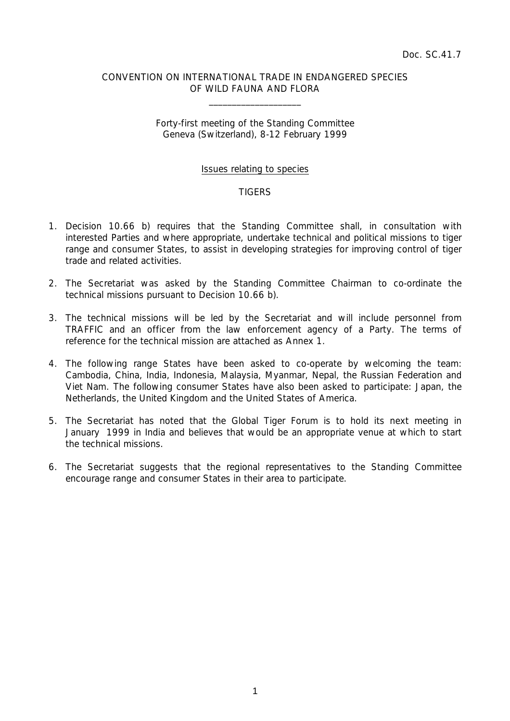## CONVENTION ON INTERNATIONAL TRADE IN ENDANGERED SPECIES OF WILD FAUNA AND FLORA

 $\overline{\phantom{a}}$  , which is a set of the set of the set of the set of the set of the set of the set of the set of the set of the set of the set of the set of the set of the set of the set of the set of the set of the set of th

## Forty-first meeting of the Standing Committee Geneva (Switzerland), 8-12 February 1999

## Issues relating to species

## **TIGERS**

- 1. Decision 10.66 b) requires that the Standing Committee shall, in consultation with interested Parties and where appropriate, undertake technical and political missions to tiger range and consumer States, to assist in developing strategies for improving control of tiger trade and related activities.
- 2. The Secretariat was asked by the Standing Committee Chairman to co-ordinate the technical missions pursuant to Decision 10.66 b).
- 3. The technical missions will be led by the Secretariat and will include personnel from TRAFFIC and an officer from the law enforcement agency of a Party. The terms of reference for the technical mission are attached as Annex 1.
- 4. The following range States have been asked to co-operate by welcoming the team: Cambodia, China, India, Indonesia, Malaysia, Myanmar, Nepal, the Russian Federation and Viet Nam. The following consumer States have also been asked to participate: Japan, the Netherlands, the United Kingdom and the United States of America.
- 5. The Secretariat has noted that the Global Tiger Forum is to hold its next meeting in January 1999 in India and believes that would be an appropriate venue at which to start the technical missions.
- 6. The Secretariat suggests that the regional representatives to the Standing Committee encourage range and consumer States in their area to participate.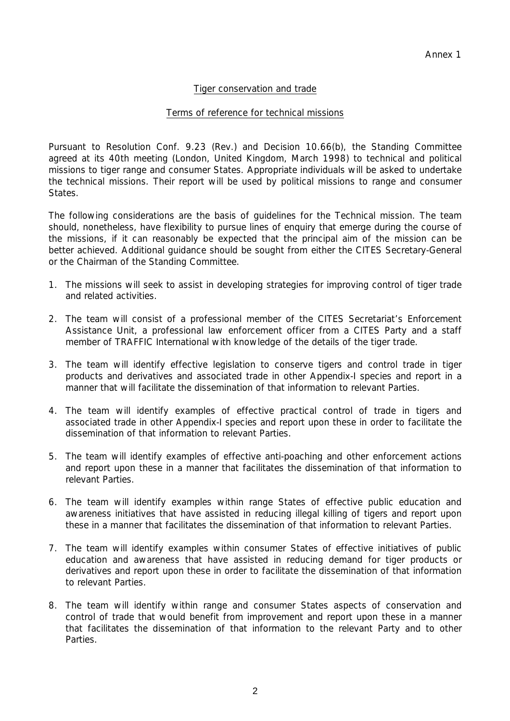# Tiger conservation and trade

## Terms of reference for technical missions

Pursuant to Resolution Conf. 9.23 (Rev.) and Decision 10.66(b), the Standing Committee agreed at its 40th meeting (London, United Kingdom, March 1998) to technical and political missions to tiger range and consumer States. Appropriate individuals will be asked to undertake the technical missions. Their report will be used by political missions to range and consumer States.

The following considerations are the basis of guidelines for the Technical mission. The team should, nonetheless, have flexibility to pursue lines of enquiry that emerge during the course of the missions, if it can reasonably be expected that the principal aim of the mission can be better achieved. Additional guidance should be sought from either the CITES Secretary-General or the Chairman of the Standing Committee.

- 1. The missions will seek to assist in developing strategies for improving control of tiger trade and related activities.
- 2. The team will consist of a professional member of the CITES Secretariat's Enforcement Assistance Unit, a professional law enforcement officer from a CITES Party and a staff member of TRAFFIC International with knowledge of the details of the tiger trade.
- 3. The team will identify effective legislation to conserve tigers and control trade in tiger products and derivatives and associated trade in other Appendix-I species and report in a manner that will facilitate the dissemination of that information to relevant Parties.
- 4. The team will identify examples of effective practical control of trade in tigers and associated trade in other Appendix-I species and report upon these in order to facilitate the dissemination of that information to relevant Parties.
- 5. The team will identify examples of effective anti-poaching and other enforcement actions and report upon these in a manner that facilitates the dissemination of that information to relevant Parties.
- 6. The team will identify examples within range States of effective public education and awareness initiatives that have assisted in reducing illegal killing of tigers and report upon these in a manner that facilitates the dissemination of that information to relevant Parties.
- 7. The team will identify examples within consumer States of effective initiatives of public education and awareness that have assisted in reducing demand for tiger products or derivatives and report upon these in order to facilitate the dissemination of that information to relevant Parties.
- 8. The team will identify within range and consumer States aspects of conservation and control of trade that would benefit from improvement and report upon these in a manner that facilitates the dissemination of that information to the relevant Party and to other Parties.